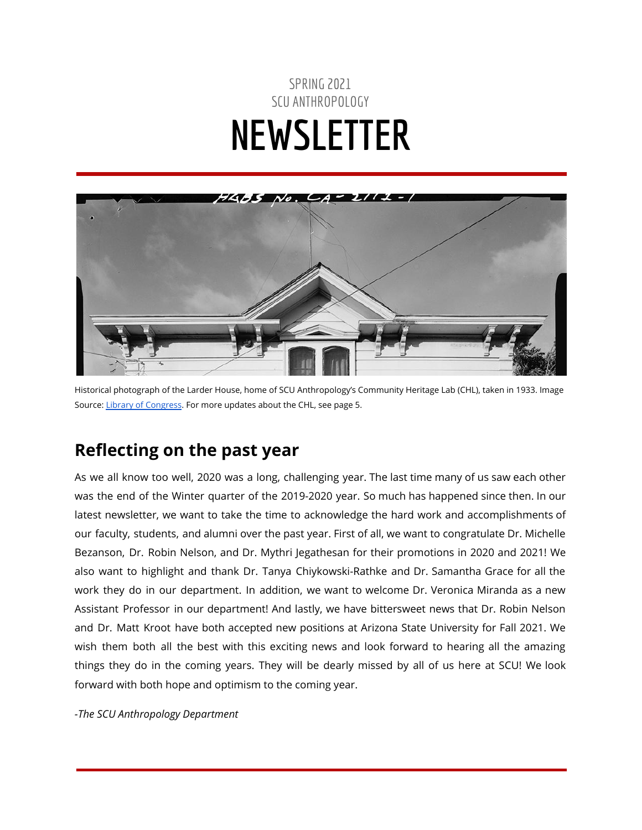# SPRING 2021 SCU ANTHROPOLOGY **NEWSLETTER**



Historical photograph of the Larder House, home of SCU Anthropology's Community Heritage Lab (CHL), taken in 1933. Image Source: Library of [Congress](https://www.loc.gov/resource/hhh.ca0985.photos/?sp=1). For more updates about the CHL, see page 5.

## **Reflecting on the past year**

As we all know too well, 2020 was a long, challenging year. The last time many of us saw each other was the end of the Winter quarter of the 2019-2020 year. So much has happened since then. In our latest newsletter, we want to take the time to acknowledge the hard work and accomplishments of our faculty, students, and alumni over the past year. First of all, we want to congratulate Dr. Michelle Bezanson, Dr. Robin Nelson, and Dr. Mythri Jegathesan for their promotions in 2020 and 2021! We also want to highlight and thank Dr. Tanya Chiykowski-Rathke and Dr. Samantha Grace for all the work they do in our department. In addition, we want to welcome Dr. Veronica Miranda as a new Assistant Professor in our department! And lastly, we have bittersweet news that Dr. Robin Nelson and Dr. Matt Kroot have both accepted new positions at Arizona State University for Fall 2021. We wish them both all the best with this exciting news and look forward to hearing all the amazing things they do in the coming years. They will be dearly missed by all of us here at SCU! We look forward with both hope and optimism to the coming year.

*-The SCU Anthropology Department*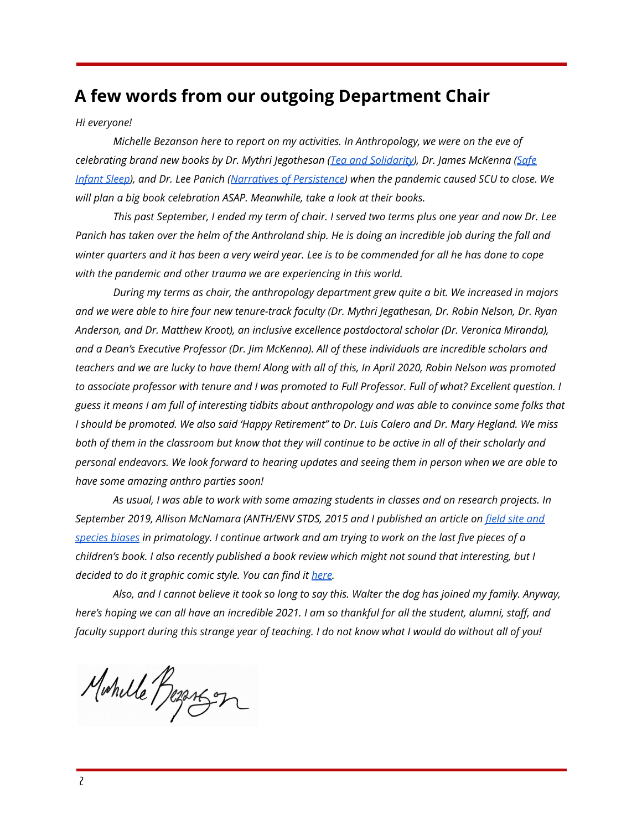### **A few words from our outgoing Department Chair**

#### *Hi everyone!*

*Michelle Bezanson here to report on my activities. In Anthropology, we were on the eve of celebrating brand new books by Dr. Mythri Jegathesan (Tea and [Solidarity\)](https://uwapress.uw.edu/book/9780295745671/tea-and-solidarity/), Dr. James McKenna [\(Safe](https://www.amazon.com/Safe-Infant-Sleep-Cosleeping-Questions-ebook/dp/B082VM3Z1R) [Infant](https://www.amazon.com/Safe-Infant-Sleep-Cosleeping-Questions-ebook/dp/B082VM3Z1R) Sleep), and Dr. Lee Panich (Narratives of [Persistence\)](https://uapress.arizona.edu/book/narratives-of-persistence) when the pandemic caused SCU to close. We will plan a big book celebration ASAP. Meanwhile, take a look at their books.*

This past September, I ended my term of chair. I served two terms plus one year and now Dr. Lee Panich has taken over the helm of the Anthroland ship. He is doing an incredible job during the fall and winter quarters and it has been a very weird year. Lee is to be commended for all he has done to cope *with the pandemic and other trauma we are experiencing in this world.*

*During my terms as chair, the anthropology department grew quite a bit. We increased in majors* and we were able to hire four new tenure-track faculty (Dr. Mythri Jegathesan, Dr. Robin Nelson, Dr. Ryan *Anderson, and Dr. Matthew Kroot), an inclusive excellence postdoctoral scholar (Dr. Veronica Miranda), and a Dean's Executive Professor (Dr. Jim McKenna). All of these individuals are incredible scholars and* teachers and we are lucky to have them! Along with all of this, In April 2020, Robin Nelson was promoted to associate professor with tenure and I was promoted to Full Professor. Full of what? Excellent question. I guess it means I am full of interesting tidbits about anthropology and was able to convince some folks that I should be promoted. We also said 'Happy Retirement" to Dr. Luis Calero and Dr. Mary Hegland. We miss both of them in the classroom but know that they will continue to be active in all of their scholarly and personal endeavors. We look forward to hearing updates and seeing them in person when we are able to *have some amazing anthro parties soon!*

*As usual, I was able to work with some amazing students in classes and on research projects. In September 2019, Allison McNamara (ANTH/ENV STDS, 2015 and I published an article on [field](https://onlinelibrary.wiley.com/doi/10.1002/evan.21790) site and* [species](https://onlinelibrary.wiley.com/doi/10.1002/evan.21790) biases in primatology. I continue artwork and am trying to work on the last five pieces of a *children's book. I also recently published a book review which might not sound that interesting, but I decided to do it graphic comic style. You can find it [here.](https://drive.google.com/file/d/1HLF2tCcEoPhqnMyFdnPAM5ANbWZliuWF/view?usp=sharing)*

Also, and I cannot believe it took so long to say this. Walter the dog has joined my family. Anyway, here's hoping we can all have an incredible 2021. I am so thankful for all the student, alumni, staff, and faculty support during this strange year of teaching. I do not know what I would do without all of you!

Mohille Reportson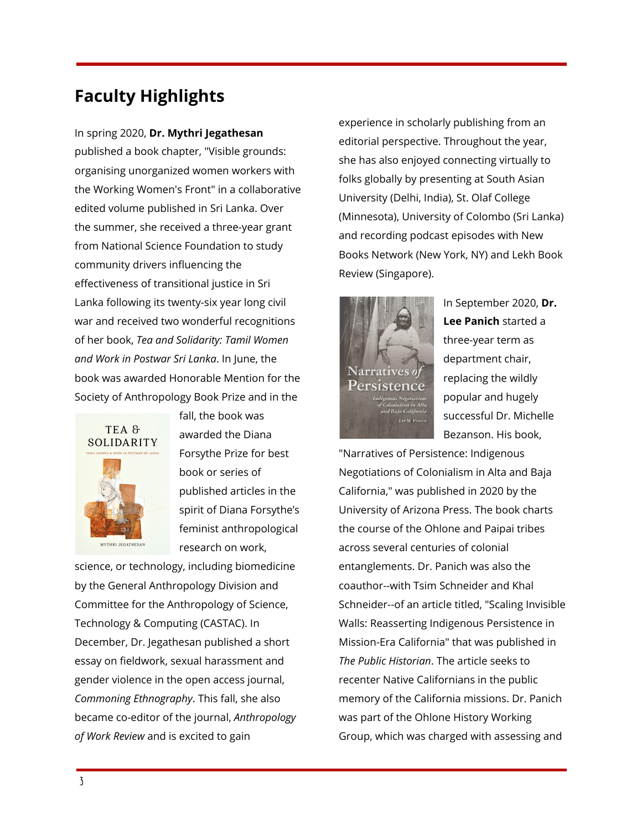# **Faculty Highlights**

#### In spring 2020, **Dr. Mythri Jegathesan**

published a book chapter, "Visible grounds: organising unorganized women workers with the Working Women's Front" in a collaborative edited volume published in Sri Lanka. Over the summer, she received a three-year grant from National Science Foundation to study community drivers influencing the effectiveness of transitional justice in Sri Lanka following its twenty-six year long civil war and received two wonderful recognitions of her book, *Tea and Solidarity: Tamil Women and Work in Postwar Sri Lanka*. In June, the book was awarded Honorable Mention for the Society of Anthropology Book Prize and in the



fall, the book was awarded the Diana Forsythe Prize for best book or series of published articles in the spirit of Diana Forsythe's feminist anthropological research on work,

science, or technology, including biomedicine by the General Anthropology Division and Committee for the Anthropology of Science, Technology & Computing (CASTAC). In December, Dr. Jegathesan published a short essay on fieldwork, sexual harassment and gender violence in the open access journal, *Commoning Ethnography*. This fall, she also became co-editor of the journal, *Anthropology of Work Review* and is excited to gain

experience in scholarly publishing from an editorial perspective. Throughout the year, she has also enjoyed connecting virtually to folks globally by presenting at South Asian University (Delhi, India), St. Olaf College (Minnesota), University of Colombo (Sri Lanka) and recording podcast episodes with New Books Network (New York, NY) and Lekh Book Review (Singapore).



In September 2020, **Dr. Lee Panich** started a three-year term as department chair, replacing the wildly popular and hugely successful Dr. Michelle Bezanson. His book,

"Narratives of Persistence: Indigenous Negotiations of Colonialism in Alta and Baja California," was published in 2020 by the University of Arizona Press. The book charts the course of the Ohlone and Paipai tribes across several centuries of colonial entanglements. Dr. Panich was also the coauthor--with Tsim Schneider and Khal Schneider--of an article titled, "Scaling Invisible Walls: Reasserting Indigenous Persistence in Mission-Era California" that was published in *The Public Historian*. The article seeks to recenter Native Californians in the public memory of the California missions. Dr. Panich was part of the Ohlone History Working Group, which was charged with assessing and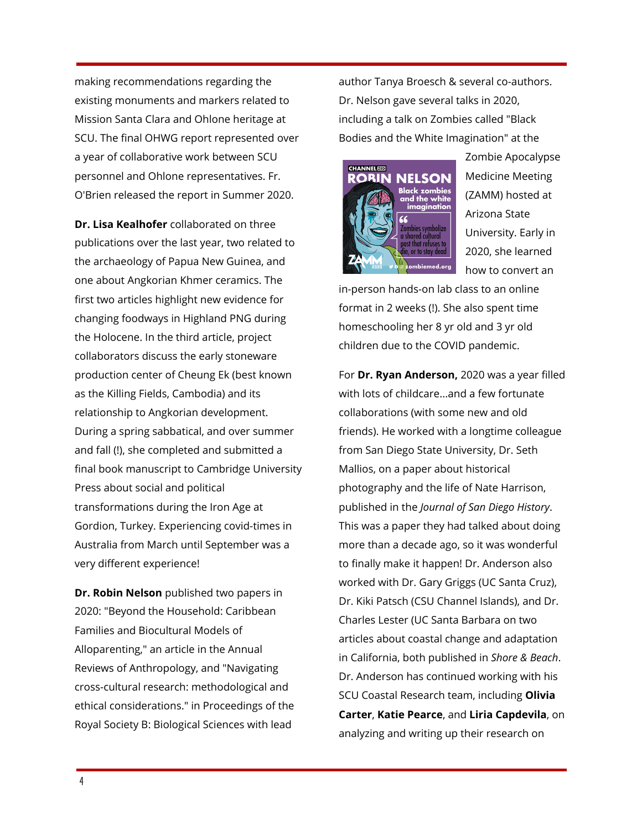making recommendations regarding the existing monuments and markers related to Mission Santa Clara and Ohlone heritage at SCU. The final OHWG report represented over a year of collaborative work between SCU personnel and Ohlone representatives. Fr. O'Brien released the report in Summer 2020.

**Dr. Lisa Kealhofer** collaborated on three publications over the last year, two related to the archaeology of Papua New Guinea, and one about Angkorian Khmer ceramics. The first two articles highlight new evidence for changing foodways in Highland PNG during the Holocene. In the third article, project collaborators discuss the early stoneware production center of Cheung Ek (best known as the Killing Fields, Cambodia) and its relationship to Angkorian development. During a spring sabbatical, and over summer and fall (!), she completed and submitted a final book manuscript to Cambridge University Press about social and political transformations during the Iron Age at Gordion, Turkey. Experiencing covid-times in Australia from March until September was a very different experience!

**Dr. Robin Nelson** published two papers in 2020: "Beyond the Household: Caribbean Families and Biocultural Models of Alloparenting," an article in the Annual Reviews of Anthropology, and "Navigating cross-cultural research: methodological and ethical considerations." in Proceedings of the Royal Society B: Biological Sciences with lead

author Tanya Broesch & several co-authors. Dr. Nelson gave several talks in 2020, including a talk on Zombies called "Black Bodies and the White Imagination" at the



Zombie Apocalypse Medicine Meeting (ZAMM) hosted at Arizona State University. Early in 2020, she learned how to convert an

in-person hands-on lab class to an online format in 2 weeks (!). She also spent time homeschooling her 8 yr old and 3 yr old children due to the COVID pandemic.

For **Dr. Ryan Anderson,** 2020 was a year filled with lots of childcare...and a few fortunate collaborations (with some new and old friends). He worked with a longtime colleague from San Diego State University, Dr. Seth Mallios, on a paper about historical photography and the life of Nate Harrison, published in the *Journal of San Diego History*. This was a paper they had talked about doing more than a decade ago, so it was wonderful to finally make it happen! Dr. Anderson also worked with Dr. Gary Griggs (UC Santa Cruz), Dr. Kiki Patsch (CSU Channel Islands), and Dr. Charles Lester (UC Santa Barbara on two articles about coastal change and adaptation in California, both published in *Shore & Beach*. Dr. Anderson has continued working with his SCU Coastal Research team, including **Olivia Carter**, **Katie Pearce**, and **Liria Capdevila**, on analyzing and writing up their research on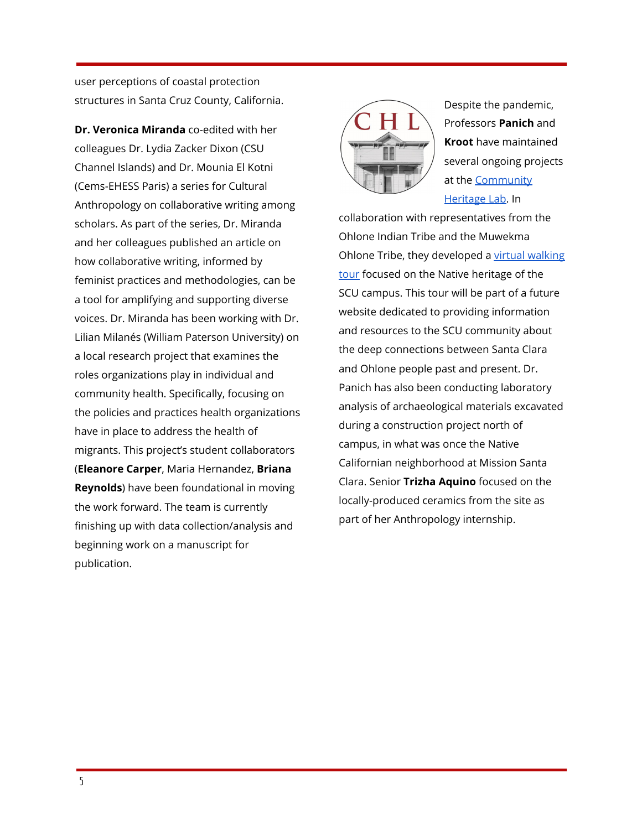user perceptions of coastal protection structures in Santa Cruz County, California.

**Dr. Veronica Miranda** co-edited with her colleagues Dr. Lydia Zacker Dixon (CSU Channel Islands) and Dr. Mounia El Kotni (Cems-EHESS Paris) a series for Cultural Anthropology on collaborative writing among scholars. As part of the series, Dr. Miranda and her colleagues published an article on how collaborative writing, informed by feminist practices and methodologies, can be a tool for amplifying and supporting diverse voices. Dr. Miranda has been working with Dr. Lilian Milanés (William Paterson University) on a local research project that examines the roles organizations play in individual and community health. Specifically, focusing on the policies and practices health organizations have in place to address the health of migrants. This project's student collaborators (**Eleanore Carper**, Maria Hernandez, **Briana Reynolds**) have been foundational in moving the work forward. The team is currently finishing up with data collection/analysis and beginning work on a manuscript for publication.



Despite the pandemic, Professors **Panich** and **Kroot** have maintained several ongoing projects at the [Community](https://www.scu.edu/community-heritage-lab/) [Heritage](https://www.scu.edu/community-heritage-lab/) Lab. In

collaboration with representatives from the Ohlone Indian Tribe and the Muwekma Ohlone Tribe, they developed a virtual [walking](https://earth.google.com/earth/rpc/cc/drive?state=%7B%22ids%22%3A%5B%221IeG1_dxYE41sA5WXyZMCmqyddfMEhx8i%22%5D%2C%22action%22%3A%22open%22%2C%22userId%22%3A%22108658646065741700550%22%2C%22resourceKeys%22%3A%7B%7D%7D&usp=sharing) [tour](https://earth.google.com/earth/rpc/cc/drive?state=%7B%22ids%22%3A%5B%221IeG1_dxYE41sA5WXyZMCmqyddfMEhx8i%22%5D%2C%22action%22%3A%22open%22%2C%22userId%22%3A%22108658646065741700550%22%2C%22resourceKeys%22%3A%7B%7D%7D&usp=sharing) focused on the Native heritage of the SCU campus. This tour will be part of a future website dedicated to providing information and resources to the SCU community about the deep connections between Santa Clara and Ohlone people past and present. Dr. Panich has also been conducting laboratory analysis of archaeological materials excavated during a construction project north of campus, in what was once the Native Californian neighborhood at Mission Santa Clara. Senior **Trizha Aquino** focused on the locally-produced ceramics from the site as part of her Anthropology internship.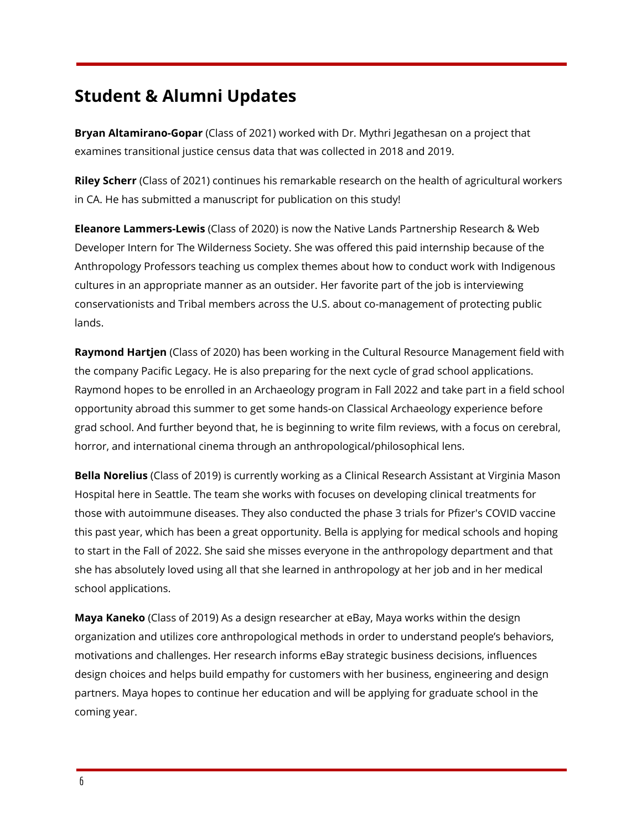### **Student & Alumni Updates**

**Bryan Altamirano-Gopar** (Class of 2021) worked with Dr. Mythri Jegathesan on a project that examines transitional justice census data that was collected in 2018 and 2019.

**Riley Scherr** (Class of 2021) continues his remarkable research on the health of agricultural workers in CA. He has submitted a manuscript for publication on this study!

**Eleanore Lammers-Lewis** (Class of 2020) is now the Native Lands Partnership Research & Web Developer Intern for The Wilderness Society. She was offered this paid internship because of the Anthropology Professors teaching us complex themes about how to conduct work with Indigenous cultures in an appropriate manner as an outsider. Her favorite part of the job is interviewing conservationists and Tribal members across the U.S. about co-management of protecting public lands.

**Raymond Hartjen** (Class of 2020) has been working in the Cultural Resource Management field with the company Pacific Legacy. He is also preparing for the next cycle of grad school applications. Raymond hopes to be enrolled in an Archaeology program in Fall 2022 and take part in a field school opportunity abroad this summer to get some hands-on Classical Archaeology experience before grad school. And further beyond that, he is beginning to write film reviews, with a focus on cerebral, horror, and international cinema through an anthropological/philosophical lens.

**Bella Norelius** (Class of 2019) is currently working as a Clinical Research Assistant at Virginia Mason Hospital here in Seattle. The team she works with focuses on developing clinical treatments for those with autoimmune diseases. They also conducted the phase 3 trials for Pfizer's COVID vaccine this past year, which has been a great opportunity. Bella is applying for medical schools and hoping to start in the Fall of 2022. She said she misses everyone in the anthropology department and that she has absolutely loved using all that she learned in anthropology at her job and in her medical school applications.

**Maya Kaneko** (Class of 2019) As a design researcher at eBay, Maya works within the design organization and utilizes core anthropological methods in order to understand people's behaviors, motivations and challenges. Her research informs eBay strategic business decisions, influences design choices and helps build empathy for customers with her business, engineering and design partners. Maya hopes to continue her education and will be applying for graduate school in the coming year.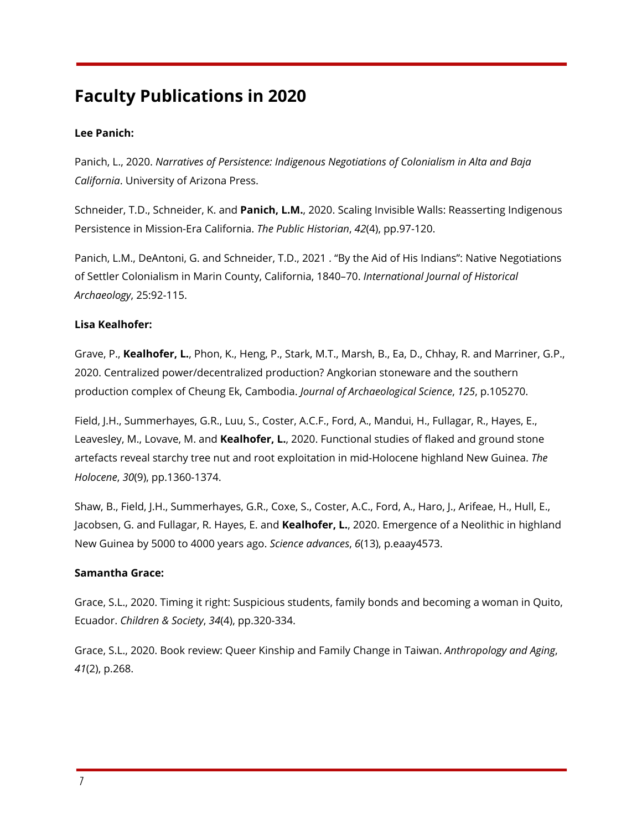# **Faculty Publications in 2020**

#### **Lee Panich:**

Panich, L., 2020. *Narratives of Persistence: Indigenous Negotiations of Colonialism in Alta and Baja California*. University of Arizona Press.

Schneider, T.D., Schneider, K. and **Panich, L.M.**, 2020. Scaling Invisible Walls: Reasserting Indigenous Persistence in Mission-Era California. *The Public Historian*, *42*(4), pp.97-120.

Panich, L.M., DeAntoni, G. and Schneider, T.D., 2021 . "By the Aid of His Indians": Native Negotiations of Settler Colonialism in Marin County, California, 1840–70. *International Journal of Historical Archaeology*, 25:92-115.

#### **Lisa Kealhofer:**

Grave, P., **Kealhofer, L.**, Phon, K., Heng, P., Stark, M.T., Marsh, B., Ea, D., Chhay, R. and Marriner, G.P., 2020. Centralized power/decentralized production? Angkorian stoneware and the southern production complex of Cheung Ek, Cambodia. *Journal of Archaeological Science*, *125*, p.105270.

Field, J.H., Summerhayes, G.R., Luu, S., Coster, A.C.F., Ford, A., Mandui, H., Fullagar, R., Hayes, E., Leavesley, M., Lovave, M. and **Kealhofer, L.**, 2020. Functional studies of flaked and ground stone artefacts reveal starchy tree nut and root exploitation in mid-Holocene highland New Guinea. *The Holocene*, *30*(9), pp.1360-1374.

Shaw, B., Field, J.H., Summerhayes, G.R., Coxe, S., Coster, A.C., Ford, A., Haro, J., Arifeae, H., Hull, E., Jacobsen, G. and Fullagar, R. Hayes, E. and **Kealhofer, L.**, 2020. Emergence of a Neolithic in highland New Guinea by 5000 to 4000 years ago. *Science advances*, *6*(13), p.eaay4573.

#### **Samantha Grace:**

Grace, S.L., 2020. Timing it right: Suspicious students, family bonds and becoming a woman in Quito, Ecuador. *Children & Society*, *34*(4), pp.320-334.

Grace, S.L., 2020. Book review: Queer Kinship and Family Change in Taiwan. *Anthropology and Aging*, *41*(2), p.268.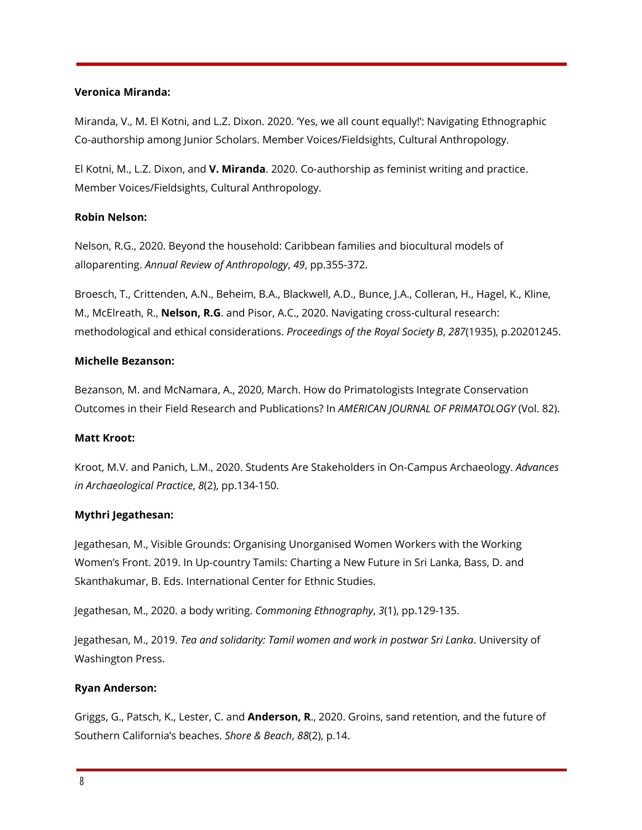#### **Veronica Miranda:**

Miranda, V., M. El Kotni, and L.Z. Dixon. 2020. 'Yes, we all count equally!': Navigating Ethnographic Co-authorship among Junior Scholars. Member Voices/Fieldsights, Cultural Anthropology.

El Kotni, M., L.Z. Dixon, and **V. Miranda**. 2020. Co-authorship as feminist writing and practice. Member Voices/Fieldsights, Cultural Anthropology.

#### **Robin Nelson:**

Nelson, R.G., 2020. Beyond the household: Caribbean families and biocultural models of alloparenting. *Annual Review of Anthropology*, *49*, pp.355-372.

Broesch, T., Crittenden, A.N., Beheim, B.A., Blackwell, A.D., Bunce, J.A., Colleran, H., Hagel, K., Kline, M., McElreath, R., **Nelson, R.G**. and Pisor, A.C., 2020. Navigating cross-cultural research: methodological and ethical considerations. *Proceedings of the Royal Society B*, *287*(1935), p.20201245.

#### **Michelle Bezanson:**

Bezanson, M. and McNamara, A., 2020, March. How do Primatologists Integrate Conservation Outcomes in their Field Research and Publications? In *AMERICAN JOURNAL OF PRIMATOLOGY* (Vol. 82).

#### **Matt Kroot:**

Kroot, M.V. and Panich, L.M., 2020. Students Are Stakeholders in On-Campus Archaeology. *Advances in Archaeological Practice*, *8*(2), pp.134-150.

#### **Mythri Jegathesan:**

Jegathesan, M., Visible Grounds: Organising Unorganised Women Workers with the Working Women's Front. 2019. In Up-country Tamils: Charting a New Future in Sri Lanka, Bass, D. and Skanthakumar, B. Eds. International Center for Ethnic Studies.

Jegathesan, M., 2020. a body writing. *Commoning Ethnography*, *3*(1), pp.129-135.

Jegathesan, M., 2019. *Tea and solidarity: Tamil women and work in postwar Sri Lanka*. University of Washington Press.

#### **Ryan Anderson:**

Griggs, G., Patsch, K., Lester, C. and **Anderson, R**., 2020. Groins, sand retention, and the future of Southern California's beaches. *Shore & Beach*, *88*(2), p.14.